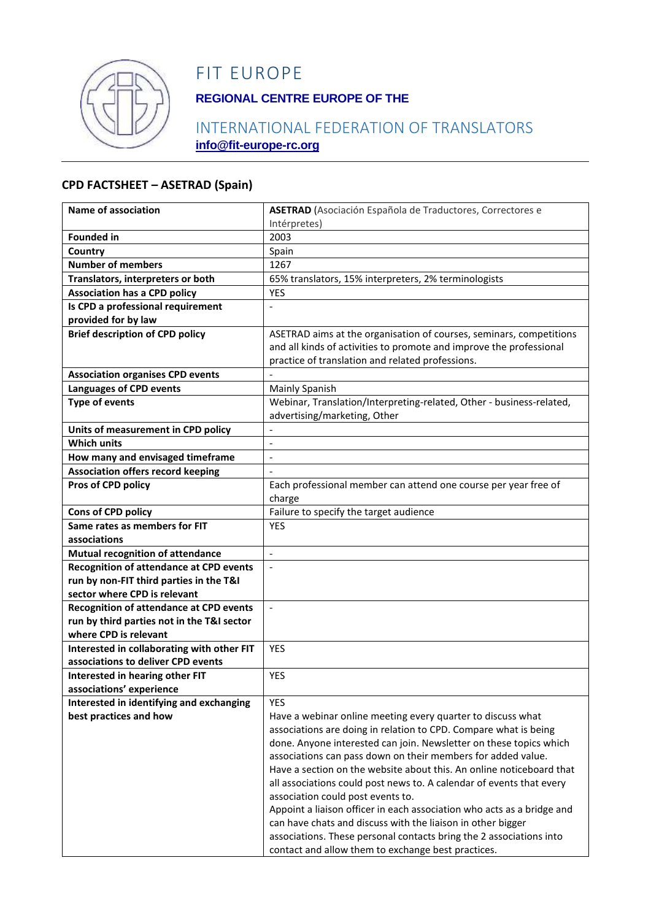

## FIT EUROPE

## **REGIONAL CENTRE EUROPE OF THE**

## INTERNATIONAL FEDERATION OF TRANSLATORS **info@fit-europe-rc.org**

#### **CPD FACTSHEET – ASETRAD (Spain)**

| Name of association                            | ASETRAD (Asociación Española de Traductores, Correctores e                                                                            |
|------------------------------------------------|---------------------------------------------------------------------------------------------------------------------------------------|
|                                                | Intérpretes)                                                                                                                          |
| <b>Founded in</b>                              | 2003                                                                                                                                  |
| Country                                        | Spain                                                                                                                                 |
| <b>Number of members</b>                       | 1267                                                                                                                                  |
| Translators, interpreters or both              | 65% translators, 15% interpreters, 2% terminologists                                                                                  |
| <b>Association has a CPD policy</b>            | <b>YES</b>                                                                                                                            |
| Is CPD a professional requirement              |                                                                                                                                       |
| provided for by law                            |                                                                                                                                       |
| <b>Brief description of CPD policy</b>         | ASETRAD aims at the organisation of courses, seminars, competitions                                                                   |
|                                                | and all kinds of activities to promote and improve the professional                                                                   |
|                                                | practice of translation and related professions.                                                                                      |
| <b>Association organises CPD events</b>        |                                                                                                                                       |
| <b>Languages of CPD events</b>                 | Mainly Spanish                                                                                                                        |
| <b>Type of events</b>                          | Webinar, Translation/Interpreting-related, Other - business-related,<br>advertising/marketing, Other                                  |
| Units of measurement in CPD policy             |                                                                                                                                       |
| <b>Which units</b>                             | $\overline{a}$                                                                                                                        |
| How many and envisaged timeframe               | $\overline{a}$                                                                                                                        |
| <b>Association offers record keeping</b>       |                                                                                                                                       |
| Pros of CPD policy                             | Each professional member can attend one course per year free of                                                                       |
|                                                | charge                                                                                                                                |
| Cons of CPD policy                             | Failure to specify the target audience                                                                                                |
| Same rates as members for FIT                  | <b>YES</b>                                                                                                                            |
| associations                                   |                                                                                                                                       |
| <b>Mutual recognition of attendance</b>        | $\mathbb{L}$                                                                                                                          |
| <b>Recognition of attendance at CPD events</b> | $\overline{a}$                                                                                                                        |
| run by non-FIT third parties in the T&I        |                                                                                                                                       |
| sector where CPD is relevant                   |                                                                                                                                       |
| <b>Recognition of attendance at CPD events</b> | $\blacksquare$                                                                                                                        |
| run by third parties not in the T&I sector     |                                                                                                                                       |
| where CPD is relevant                          |                                                                                                                                       |
| Interested in collaborating with other FIT     | <b>YES</b>                                                                                                                            |
| associations to deliver CPD events             |                                                                                                                                       |
| Interested in hearing other FIT                | <b>YES</b>                                                                                                                            |
| associations' experience                       |                                                                                                                                       |
| Interested in identifying and exchanging       | <b>YES</b>                                                                                                                            |
| best practices and how                         | Have a webinar online meeting every quarter to discuss what                                                                           |
|                                                | associations are doing in relation to CPD. Compare what is being                                                                      |
|                                                | done. Anyone interested can join. Newsletter on these topics which                                                                    |
|                                                | associations can pass down on their members for added value.                                                                          |
|                                                | Have a section on the website about this. An online noticeboard that                                                                  |
|                                                | all associations could post news to. A calendar of events that every                                                                  |
|                                                | association could post events to.                                                                                                     |
|                                                | Appoint a liaison officer in each association who acts as a bridge and<br>can have chats and discuss with the liaison in other bigger |
|                                                | associations. These personal contacts bring the 2 associations into                                                                   |
|                                                | contact and allow them to exchange best practices.                                                                                    |